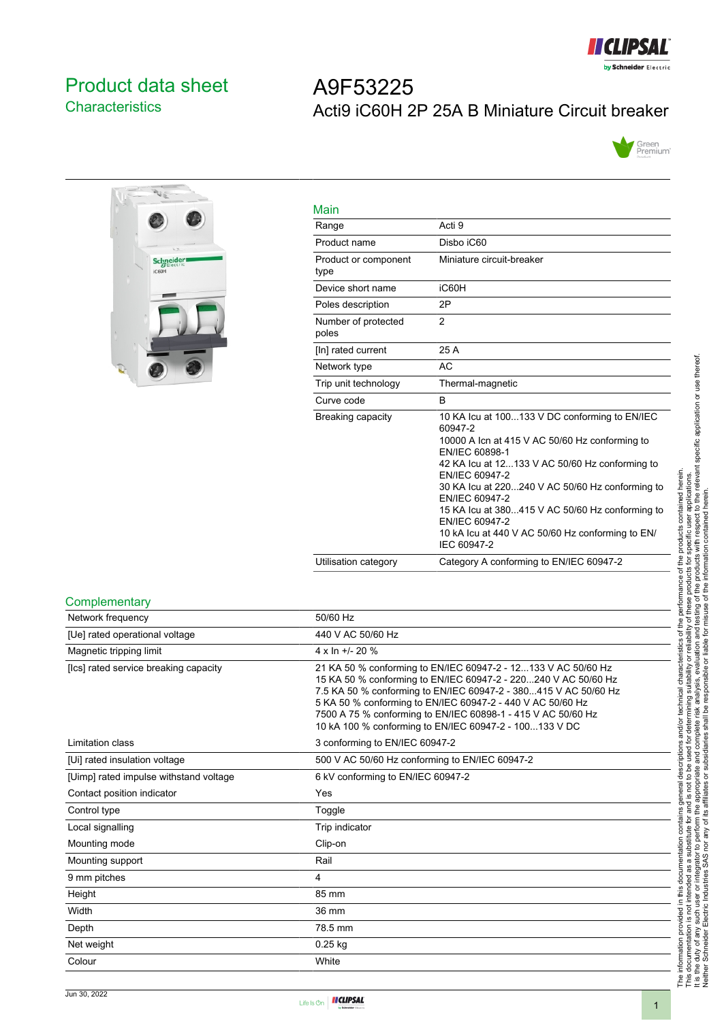

# <span id="page-0-0"></span>Product data sheet **Characteristics**

# A9F53225 Acti9 iC60H 2P 25A B Miniature Circuit breaker





| Main                         |                                                                                                                                                                                                                                                                                                                                                                                                               |
|------------------------------|---------------------------------------------------------------------------------------------------------------------------------------------------------------------------------------------------------------------------------------------------------------------------------------------------------------------------------------------------------------------------------------------------------------|
| Range                        | Acti 9                                                                                                                                                                                                                                                                                                                                                                                                        |
| Product name                 | Disbo iC60                                                                                                                                                                                                                                                                                                                                                                                                    |
| Product or component<br>type | Miniature circuit-breaker                                                                                                                                                                                                                                                                                                                                                                                     |
| Device short name            | iC60H                                                                                                                                                                                                                                                                                                                                                                                                         |
| Poles description            | 2P                                                                                                                                                                                                                                                                                                                                                                                                            |
| Number of protected<br>poles | $\overline{2}$                                                                                                                                                                                                                                                                                                                                                                                                |
| [In] rated current           | 25 A                                                                                                                                                                                                                                                                                                                                                                                                          |
| Network type                 | AC                                                                                                                                                                                                                                                                                                                                                                                                            |
| Trip unit technology         | Thermal-magnetic                                                                                                                                                                                                                                                                                                                                                                                              |
| Curve code                   | <sub>R</sub>                                                                                                                                                                                                                                                                                                                                                                                                  |
| Breaking capacity            | 10 KA Icu at 100133 V DC conforming to EN/IEC<br>60947-2<br>10000 A Icn at 415 V AC 50/60 Hz conforming to<br>EN/IEC 60898-1<br>42 KA lcu at 12133 V AC 50/60 Hz conforming to<br>EN/IEC 60947-2<br>30 KA lcu at 220240 V AC 50/60 Hz conforming to<br>EN/IEC 60947-2<br>15 KA Icu at 380415 V AC 50/60 Hz conforming to<br>EN/IEC 60947-2<br>10 kA lcu at 440 V AC 50/60 Hz conforming to EN/<br>IEC 60947-2 |
| Utilisation category         | Category A conforming to EN/IEC 60947-2                                                                                                                                                                                                                                                                                                                                                                       |

#### **Complementary**

| Network frequency                      | 50/60 Hz                                                                                                                                                                                                                                                                                                                                                                                   |
|----------------------------------------|--------------------------------------------------------------------------------------------------------------------------------------------------------------------------------------------------------------------------------------------------------------------------------------------------------------------------------------------------------------------------------------------|
| [Ue] rated operational voltage         | 440 V AC 50/60 Hz                                                                                                                                                                                                                                                                                                                                                                          |
| Magnetic tripping limit                | $4 \times \ln 11 - 20$ %                                                                                                                                                                                                                                                                                                                                                                   |
| [Ics] rated service breaking capacity  | 21 KA 50 % conforming to EN/IEC 60947-2 - 12133 V AC 50/60 Hz<br>15 KA 50 % conforming to EN/IEC 60947-2 - 220240 V AC 50/60 Hz<br>7.5 KA 50 % conforming to EN/IEC 60947-2 - 380415 V AC 50/60 Hz<br>5 KA 50 % conforming to EN/IEC 60947-2 - 440 V AC 50/60 Hz<br>7500 A 75 % conforming to EN/IEC 60898-1 - 415 V AC 50/60 Hz<br>10 kA 100 % conforming to EN/IEC 60947-2 - 100133 V DC |
| Limitation class                       | 3 conforming to EN/IEC 60947-2                                                                                                                                                                                                                                                                                                                                                             |
| [Ui] rated insulation voltage          | 500 V AC 50/60 Hz conforming to EN/IEC 60947-2                                                                                                                                                                                                                                                                                                                                             |
| [Uimp] rated impulse withstand voltage | 6 kV conforming to EN/IEC 60947-2                                                                                                                                                                                                                                                                                                                                                          |
| Contact position indicator             | Yes                                                                                                                                                                                                                                                                                                                                                                                        |
| Control type                           | Toggle                                                                                                                                                                                                                                                                                                                                                                                     |
| Local signalling                       | Trip indicator                                                                                                                                                                                                                                                                                                                                                                             |
| Mounting mode                          | Clip-on                                                                                                                                                                                                                                                                                                                                                                                    |
| Mounting support                       | Rail                                                                                                                                                                                                                                                                                                                                                                                       |
| 9 mm pitches                           | 4                                                                                                                                                                                                                                                                                                                                                                                          |
| Height                                 | 85 mm                                                                                                                                                                                                                                                                                                                                                                                      |
| Width                                  | 36 mm                                                                                                                                                                                                                                                                                                                                                                                      |
| Depth                                  | 78.5 mm                                                                                                                                                                                                                                                                                                                                                                                    |
| Net weight                             | $0.25$ kg                                                                                                                                                                                                                                                                                                                                                                                  |
| Colour                                 | White                                                                                                                                                                                                                                                                                                                                                                                      |